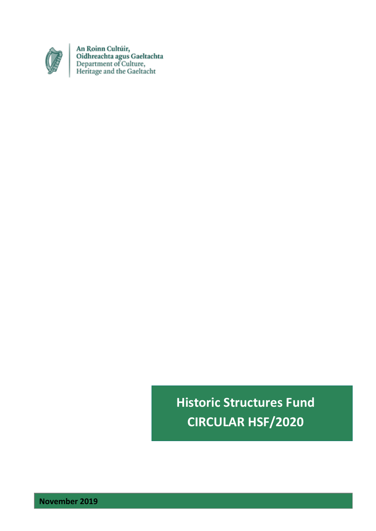

An Roinn Cultúir,<br>Oidhreachta agus Gaeltachta<br>Department of Culture,<br>Heritage and the Gaeltacht

**Historic Structures Fund CIRCULAR HSF/2020**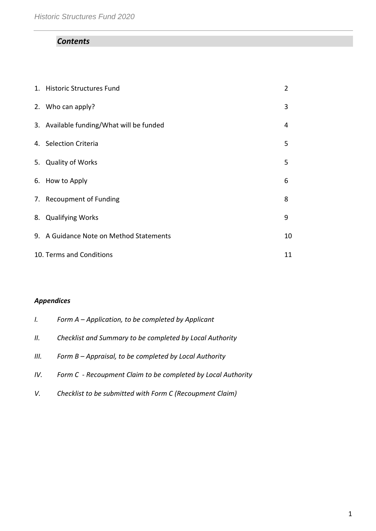# *Contents*

| 1. Historic Structures Fund              | $\overline{2}$ |
|------------------------------------------|----------------|
| 2. Who can apply?                        | 3              |
| 3. Available funding/What will be funded | 4              |
| 4. Selection Criteria                    | 5              |
| 5. Quality of Works                      | 5              |
| 6. How to Apply                          | 6              |
| 7. Recoupment of Funding                 | 8              |
| 8. Qualifying Works                      | 9              |
| 9. A Guidance Note on Method Statements  | 10             |
| 10. Terms and Conditions                 | 11             |

# *Appendices*

| Ι.   | Form $A$ – Application, to be completed by Applicant         |
|------|--------------------------------------------------------------|
| II.  | Checklist and Summary to be completed by Local Authority     |
| III. | Form B – Appraisal, to be completed by Local Authority       |
| IV.  | Form C - Recoupment Claim to be completed by Local Authority |
| V.   | Checklist to be submitted with Form C (Recoupment Claim)     |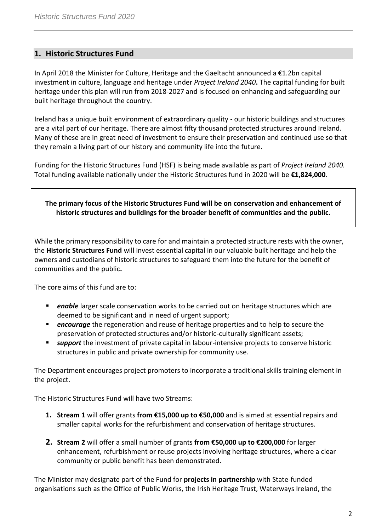# **1. Historic Structures Fund**

In April 2018 the Minister for Culture, Heritage and the Gaeltacht announced a €1.2bn capital investment in culture, language and heritage under *Project Ireland 2040***.** The capital funding for built heritage under this plan will run from 2018-2027 and is focused on enhancing and safeguarding our built heritage throughout the country.

Ireland has a unique built environment of extraordinary quality - our historic buildings and structures are a vital part of our heritage. There are almost fifty thousand protected structures around Ireland. Many of these are in great need of investment to ensure their preservation and continued use so that they remain a living part of our history and community life into the future.

Funding for the Historic Structures Fund (HSF) is being made available as part of *Project Ireland 2040.*  Total funding available nationally under the Historic Structures fund in 2020 will be **€1,824,000**.

**The primary focus of the Historic Structures Fund will be on conservation and enhancement of historic structures and buildings for the broader benefit of communities and the public.**

While the primary responsibility to care for and maintain a protected structure rests with the owner, the **Historic Structures Fund** will invest essential capital in our valuable built heritage and help the owners and custodians of historic structures to safeguard them into the future for the benefit of communities and the public**.**

The core aims of this fund are to:

- **Phable** larger scale conservation works to be carried out on heritage structures which are deemed to be significant and in need of urgent support;
- **Pencourage** the regeneration and reuse of heritage properties and to help to secure the preservation of protected structures and/or historic-culturally significant assets;
- *support* the investment of private capital in labour-intensive projects to conserve historic structures in public and private ownership for community use.

The Department encourages project promoters to incorporate a traditional skills training element in the project.

The Historic Structures Fund will have two Streams:

- **1. Stream 1** will offer grants **from €15,000 up to €50,000** and is aimed at essential repairs and smaller capital works for the refurbishment and conservation of heritage structures.
- **2. Stream 2** will offer a small number of grants **from €50,000 up to €200,000** for larger enhancement, refurbishment or reuse projects involving heritage structures, where a clear community or public benefit has been demonstrated.

The Minister may designate part of the Fund for **projects in partnership** with State-funded organisations such as the Office of Public Works, the Irish Heritage Trust, Waterways Ireland, the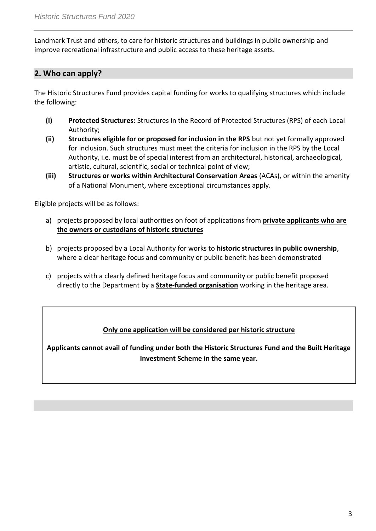Landmark Trust and others, to care for historic structures and buildings in public ownership and improve recreational infrastructure and public access to these heritage assets.

# **2. Who can apply?**

The Historic Structures Fund provides capital funding for works to qualifying structures which include the following:

- **(i) Protected Structures:** Structures in the Record of Protected Structures (RPS) of each Local Authority;
- **(ii) Structures eligible for or proposed for inclusion in the RPS** but not yet formally approved for inclusion. Such structures must meet the criteria for inclusion in the RPS by the Local Authority, i.e. must be of special interest from an architectural, historical, archaeological, artistic, cultural, scientific, social or technical point of view;
- **(iii) Structures or works within Architectural Conservation Areas** (ACAs), or within the amenity of a National Monument, where exceptional circumstances apply.

Eligible projects will be as follows:

- a) projects proposed by local authorities on foot of applications from **private applicants who are the owners or custodians of historic structures**
- b) projects proposed by a Local Authority for works to **historic structures in public ownership**, where a clear heritage focus and community or public benefit has been demonstrated
- c) projects with a clearly defined heritage focus and community or public benefit proposed directly to the Department by a **State-funded organisation** working in the heritage area.

## **Only one application will be considered per historic structure**

**Applicants cannot avail of funding under both the Historic Structures Fund and the Built Heritage Investment Scheme in the same year.**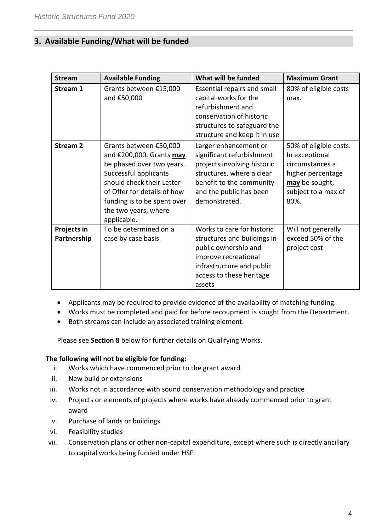# **3. Available Funding/What will be funded**

| <b>Stream</b>              | <b>Available Funding</b>                                                                                                                                                                                                                   | What will be funded                                                                                                                                                                    | <b>Maximum Grant</b>                                                                                                              |
|----------------------------|--------------------------------------------------------------------------------------------------------------------------------------------------------------------------------------------------------------------------------------------|----------------------------------------------------------------------------------------------------------------------------------------------------------------------------------------|-----------------------------------------------------------------------------------------------------------------------------------|
| Stream 1                   | Grants between €15,000<br>and €50,000                                                                                                                                                                                                      | Essential repairs and small<br>capital works for the<br>refurbishment and<br>conservation of historic<br>structures to safeguard the<br>structure and keep it in use                   | 80% of eligible costs<br>max.                                                                                                     |
| <b>Stream 2</b>            | Grants between €50,000<br>and €200,000. Grants may<br>be phased over two years.<br>Successful applicants<br>should check their Letter<br>of Offer for details of how<br>funding is to be spent over<br>the two years, where<br>applicable. | Larger enhancement or<br>significant refurbishment<br>projects involving historic<br>structures, where a clear<br>benefit to the community<br>and the public has been<br>demonstrated. | 50% of eligible costs.<br>In exceptional<br>circumstances a<br>higher percentage<br>may be sought,<br>subject to a max of<br>80%. |
| Projects in<br>Partnership | To be determined on a<br>case by case basis.                                                                                                                                                                                               | Works to care for historic<br>structures and buildings in<br>public ownership and<br>improve recreational<br>infrastructure and public<br>access to these heritage<br>assets           | Will not generally<br>exceed 50% of the<br>project cost                                                                           |

- Applicants may be required to provide evidence of the availability of matching funding.
- Works must be completed and paid for before recoupment is sought from the Department.
- Both streams can include an associated training element.

Please see **Section 8** below for further details on Qualifying Works.

#### **The following will not be eligible for funding:**

- i. Works which have commenced prior to the grant award
- ii. New build or extensions
- iii. Works not in accordance with sound conservation methodology and practice
- iv. Projects or elements of projects where works have already commenced prior to grant award
- v. Purchase of lands or buildings
- vi. Feasibility studies
- vii. Conservation plans or other non-capital expenditure, except where such is directly ancillary to capital works being funded under HSF.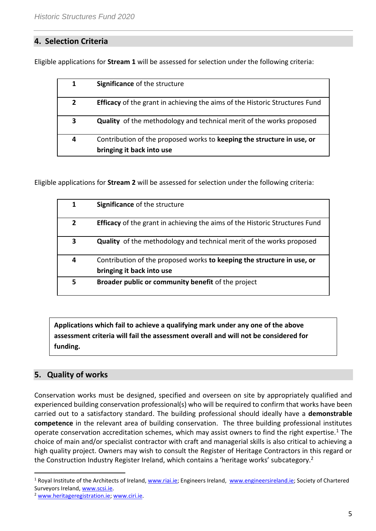# **4. Selection Criteria**

Eligible applications for **Stream 1** will be assessed for selection under the following criteria:

| 1            | Significance of the structure                                                      |
|--------------|------------------------------------------------------------------------------------|
| $\mathbf{2}$ | <b>Efficacy</b> of the grant in achieving the aims of the Historic Structures Fund |
| 3            | Quality of the methodology and technical merit of the works proposed               |
| 4            | Contribution of the proposed works to keeping the structure in use, or             |
|              | bringing it back into use                                                          |

Eligible applications for **Stream 2** will be assessed for selection under the following criteria:

| 1              | <b>Significance of the structure</b>                                                                |
|----------------|-----------------------------------------------------------------------------------------------------|
| $\overline{2}$ | <b>Efficacy</b> of the grant in achieving the aims of the Historic Structures Fund                  |
| 3              | <b>Quality</b> of the methodology and technical merit of the works proposed                         |
| 4              | Contribution of the proposed works to keeping the structure in use, or<br>bringing it back into use |
|                |                                                                                                     |
| 5              | Broader public or community benefit of the project                                                  |

**Applications which fail to achieve a qualifying mark under any one of the above assessment criteria will fail the assessment overall and will not be considered for funding.** 

# **5. Quality of works**

 $\overline{a}$ 

Conservation works must be designed, specified and overseen on site by appropriately qualified and experienced building conservation professional(s) who will be required to confirm that works have been carried out to a satisfactory standard. The building professional should ideally have a **demonstrable competence** in the relevant area of building conservation. The three building professional institutes operate conservation accreditation schemes, which may assist owners to find the right expertise.<sup>1</sup> The choice of main and/or specialist contractor with craft and managerial skills is also critical to achieving a high quality project. Owners may wish to consult the Register of Heritage Contractors in this regard or the Construction Industry Register Ireland, which contains a 'heritage works' subcategory.<sup>2</sup>

<sup>&</sup>lt;sup>1</sup> Royal Institute of the Architects of Ireland[, www.riai.ie;](http://www.riai.ie/) Engineers Ireland, [www.engineersireland.ie;](http://www.engineersireland.ie/) Society of Chartered Surveyors Ireland, [www.scsi.ie.](http://www.scsi.ie/)

<sup>2</sup> [www.heritageregistration.ie;](http://www.heritageregistration.ie/) [www.ciri.ie.](http://www.ciri.ie/)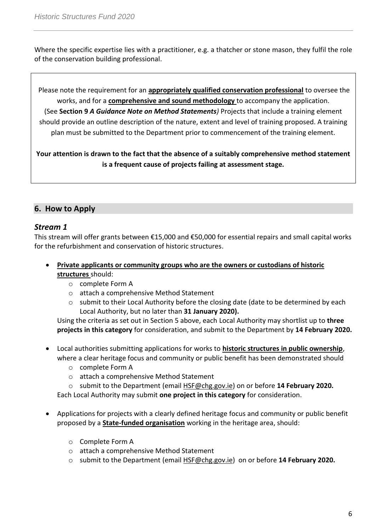Where the specific expertise lies with a practitioner, e.g. a thatcher or stone mason, they fulfil the role of the conservation building professional.

Please note the requirement for an **appropriately qualified conservation professional** to oversee the works, and for a **comprehensive and sound methodology** to accompany the application. (See **Section 9** *A Guidance Note on Method Statements)* Projects that include a training element should provide an outline description of the nature, extent and level of training proposed. A training plan must be submitted to the Department prior to commencement of the training element.

**Your attention is drawn to the fact that the absence of a suitably comprehensive method statement is a frequent cause of projects failing at assessment stage.**

# **6. How to Apply**

## *Stream 1*

This stream will offer grants between €15,000 and €50,000 for essential repairs and small capital works for the refurbishment and conservation of historic structures.

- **Private applicants or community groups who are the owners or custodians of historic structures** should:
	- o complete Form A
	- o attach a comprehensive Method Statement
	- $\circ$  submit to their Local Authority before the closing date (date to be determined by each Local Authority, but no later than **31 January 2020).**

Using the criteria as set out in Section 5 above, each Local Authority may shortlist up to **three projects in this category** for consideration, and submit to the Department by **14 February 2020.** 

- Local authorities submitting applications for works to **historic structures in public ownership**, where a clear heritage focus and community or public benefit has been demonstrated should
	- o complete Form A
	- o attach a comprehensive Method Statement
	- o submit to the Department (email [HSF@chg.gov.ie\)](mailto:HSF@chg.gov.ie) on or before **14 February 2020.**

Each Local Authority may submit **one project in this category** for consideration.

- Applications for projects with a clearly defined heritage focus and community or public benefit proposed by a **State-funded organisation** working in the heritage area, should:
	- o Complete Form A
	- o attach a comprehensive Method Statement
	- o submit to the Department (email [HSF@chg.gov.ie\)](mailto:HSF@chg.gov.ie) on or before **14 February 2020.**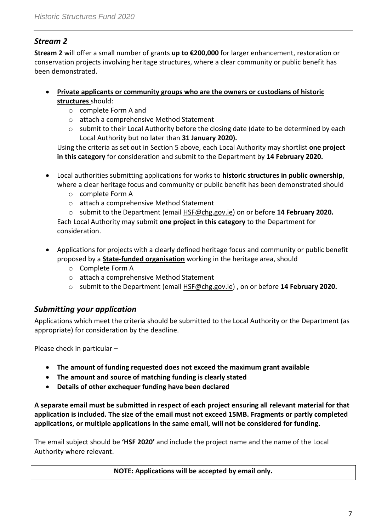# *Stream 2*

**Stream 2** will offer a small number of grants **up to €200,000** for larger enhancement, restoration or conservation projects involving heritage structures, where a clear community or public benefit has been demonstrated.

- **Private applicants or community groups who are the owners or custodians of historic structures** should:
	- o complete Form A and
	- o attach a comprehensive Method Statement
	- o submit to their Local Authority before the closing date (date to be determined by each Local Authority but no later than **31 January 2020).**

Using the criteria as set out in Section 5 above, each Local Authority may shortlist **one project in this category** for consideration and submit to the Department by **14 February 2020.** 

- Local authorities submitting applications for works to **historic structures in public ownership**, where a clear heritage focus and community or public benefit has been demonstrated should
	- o complete Form A
	- o attach a comprehensive Method Statement
	- o submit to the Department (email [HSF@chg.gov.ie\)](mailto:HSF@chg.gov.ie) on or before **14 February 2020.** Each Local Authority may submit **one project in this category** to the Department for

consideration.

- Applications for projects with a clearly defined heritage focus and community or public benefit proposed by a **State-funded organisation** working in the heritage area, should
	- o Complete Form A
	- o attach a comprehensive Method Statement
	- o submit to the Department (email [HSF@chg.gov.ie\)](mailto:builtheritage@chg.gov.ie) , on or before **14 February 2020.**

# *Submitting your application*

Applications which meet the criteria should be submitted to the Local Authority or the Department (as appropriate) for consideration by the deadline.

Please check in particular –

- **The amount of funding requested does not exceed the maximum grant available**
- **The amount and source of matching funding is clearly stated**
- **Details of other exchequer funding have been declared**

**A separate email must be submitted in respect of each project ensuring all relevant material for that application is included. The size of the email must not exceed 15MB. Fragments or partly completed applications, or multiple applications in the same email, will not be considered for funding.**

The email subject should be **'HSF 2020'** and include the project name and the name of the Local Authority where relevant.

## **NOTE: Applications will be accepted by email only.**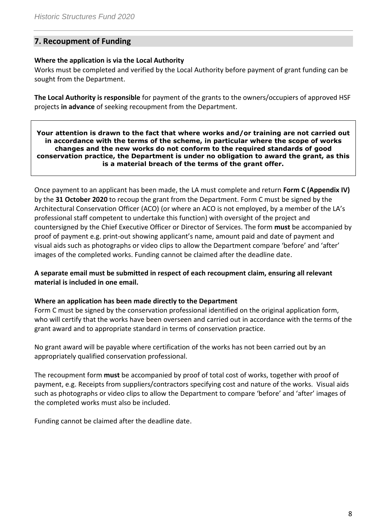# **7. Recoupment of Funding**

### **Where the application is via the Local Authority**

Works must be completed and verified by the Local Authority before payment of grant funding can be sought from the Department.

**The Local Authority is responsible** for payment of the grants to the owners/occupiers of approved HSF projects **in advance** of seeking recoupment from the Department.

**Your attention is drawn to the fact that where works and/or training are not carried out in accordance with the terms of the scheme, in particular where the scope of works changes and the new works do not conform to the required standards of good conservation practice, the Department is under no obligation to award the grant, as this is a material breach of the terms of the grant offer.**

Once payment to an applicant has been made, the LA must complete and return **Form C (Appendix IV)** by the **31 October 2020** to recoup the grant from the Department. Form C must be signed by the Architectural Conservation Officer (ACO) (or where an ACO is not employed, by a member of the LA's professional staff competent to undertake this function) with oversight of the project and countersigned by the Chief Executive Officer or Director of Services. The form **must** be accompanied by proof of payment e.g. print-out showing applicant's name, amount paid and date of payment and visual aids such as photographs or video clips to allow the Department compare 'before' and 'after' images of the completed works. Funding cannot be claimed after the deadline date.

**A separate email must be submitted in respect of each recoupment claim, ensuring all relevant material is included in one email.** 

#### **Where an application has been made directly to the Department**

Form C must be signed by the conservation professional identified on the original application form, who will certify that the works have been overseen and carried out in accordance with the terms of the grant award and to appropriate standard in terms of conservation practice.

No grant award will be payable where certification of the works has not been carried out by an appropriately qualified conservation professional.

The recoupment form **must** be accompanied by proof of total cost of works, together with proof of payment, e.g. Receipts from suppliers/contractors specifying cost and nature of the works. Visual aids such as photographs or video clips to allow the Department to compare 'before' and 'after' images of the completed works must also be included.

Funding cannot be claimed after the deadline date.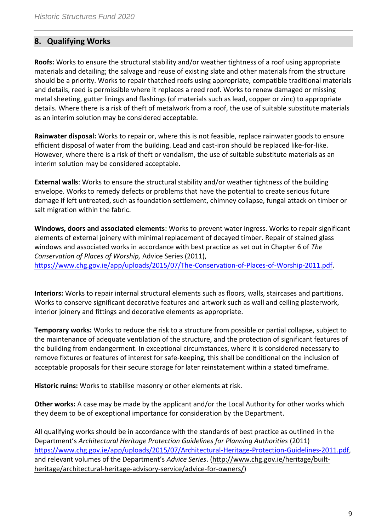# **8. Qualifying Works**

**Roofs:** Works to ensure the structural stability and/or weather tightness of a roof using appropriate materials and detailing; the salvage and reuse of existing slate and other materials from the structure should be a priority. Works to repair thatched roofs using appropriate, compatible traditional materials and details, reed is permissible where it replaces a reed roof. Works to renew damaged or missing metal sheeting, gutter linings and flashings (of materials such as lead, copper or zinc) to appropriate details. Where there is a risk of theft of metalwork from a roof, the use of suitable substitute materials as an interim solution may be considered acceptable.

**Rainwater disposal:** Works to repair or, where this is not feasible, replace rainwater goods to ensure efficient disposal of water from the building. Lead and cast-iron should be replaced like-for-like. However, where there is a risk of theft or vandalism, the use of suitable substitute materials as an interim solution may be considered acceptable.

**External walls**: Works to ensure the structural stability and/or weather tightness of the building envelope. Works to remedy defects or problems that have the potential to create serious future damage if left untreated, such as foundation settlement, chimney collapse, fungal attack on timber or salt migration within the fabric.

**Windows, doors and associated elements:** Works to prevent water ingress. Works to repair significant elements of external joinery with minimal replacement of decayed timber. Repair of stained glass windows and associated works in accordance with best practice as set out in Chapter 6 of *The Conservation of Places of Worship,* Advice Series (2011),

[https://www.chg.gov.ie/app/uploads/2015/07/The-Conservation-of-Places-of-Worship-2011.pdf.](https://www.chg.gov.ie/app/uploads/2015/07/The-Conservation-of-Places-of-Worship-2011.pdf)

**Interiors:** Works to repair internal structural elements such as floors, walls, staircases and partitions. Works to conserve significant decorative features and artwork such as wall and ceiling plasterwork, interior joinery and fittings and decorative elements as appropriate.

**Temporary works:** Works to reduce the risk to a structure from possible or partial collapse, subject to the maintenance of adequate ventilation of the structure, and the protection of significant features of the building from endangerment. In exceptional circumstances, where it is considered necessary to remove fixtures or features of interest for safe-keeping, this shall be conditional on the inclusion of acceptable proposals for their secure storage for later reinstatement within a stated timeframe.

**Historic ruins:** Works to stabilise masonry or other elements at risk.

**Other works:** A case may be made by the applicant and/or the Local Authority for other works which they deem to be of exceptional importance for consideration by the Department.

All qualifying works should be in accordance with the standards of best practice as outlined in the Department's *Architectural Heritage Protection Guidelines for Planning Authorities* (2011) [https://www.chg.gov.ie/app/uploads/2015/07/Architectural-Heritage-Protection-Guidelines-2011.pdf,](https://www.chg.gov.ie/app/uploads/2015/07/Architectural-Heritage-Protection-Guidelines-2011.pdf) and relevant volumes of the Department's *Advice Series*. [\(http://www.chg.gov.ie/heritage/built](http://www.chg.gov.ie/heritage/built-heritage/architectural-heritage-advisory-service/advice-for-owners/)[heritage/architectural-heritage-advisory-service/advice-for-owners/\)](http://www.chg.gov.ie/heritage/built-heritage/architectural-heritage-advisory-service/advice-for-owners/)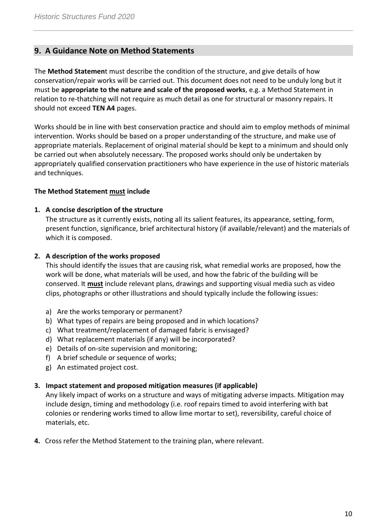## **9. A Guidance Note on Method Statements**

The **Method Statemen**t must describe the condition of the structure, and give details of how conservation/repair works will be carried out. This document does not need to be unduly long but it must be **appropriate to the nature and scale of the proposed works**, e.g. a Method Statement in relation to re-thatching will not require as much detail as one for structural or masonry repairs. It should not exceed **TEN A4** pages.

Works should be in line with best conservation practice and should aim to employ methods of minimal intervention. Works should be based on a proper understanding of the structure, and make use of appropriate materials. Replacement of original material should be kept to a minimum and should only be carried out when absolutely necessary. The proposed works should only be undertaken by appropriately qualified conservation practitioners who have experience in the use of historic materials and techniques.

#### **The Method Statement must include**

#### **1. A concise description of the structure**

The structure as it currently exists, noting all its salient features, its appearance, setting, form, present function, significance, brief architectural history (if available/relevant) and the materials of which it is composed.

### **2. A description of the works proposed**

This should identify the issues that are causing risk, what remedial works are proposed, how the work will be done, what materials will be used, and how the fabric of the building will be conserved. It **must** include relevant plans, drawings and supporting visual media such as video clips, photographs or other illustrations and should typically include the following issues:

- a) Are the works temporary or permanent?
- b) What types of repairs are being proposed and in which locations?
- c) What treatment/replacement of damaged fabric is envisaged?
- d) What replacement materials (if any) will be incorporated?
- e) Details of on-site supervision and monitoring;
- f) A brief schedule or sequence of works;
- g) An estimated project cost.

#### **3. Impact statement and proposed mitigation measures (if applicable)**

Any likely impact of works on a structure and ways of mitigating adverse impacts. Mitigation may include design, timing and methodology (i.e. roof repairs timed to avoid interfering with bat colonies or rendering works timed to allow lime mortar to set), reversibility, careful choice of materials, etc.

**4.** Cross refer the Method Statement to the training plan, where relevant.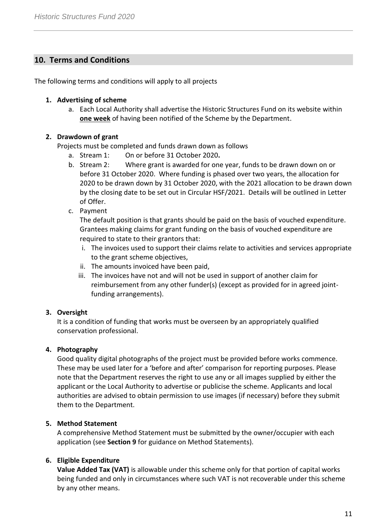# **10. Terms and Conditions**

The following terms and conditions will apply to all projects

### **1. Advertising of scheme**

a. Each Local Authority shall advertise the Historic Structures Fund on its website within **one week** of having been notified of the Scheme by the Department.

## **2. Drawdown of grant**

Projects must be completed and funds drawn down as follows

- a. Stream 1: On or before 31 October 2020**.**
- b. Stream 2: Where grant is awarded for one year, funds to be drawn down on or before 31 October 2020. Where funding is phased over two years, the allocation for 2020 to be drawn down by 31 October 2020, with the 2021 allocation to be drawn down by the closing date to be set out in Circular HSF/2021. Details will be outlined in Letter of Offer.
- c. Payment

The default position is that grants should be paid on the basis of vouched expenditure. Grantees making claims for grant funding on the basis of vouched expenditure are required to state to their grantors that:

- i. The invoices used to support their claims relate to activities and services appropriate to the grant scheme objectives,
- ii. The amounts invoiced have been paid,
- iii. The invoices have not and will not be used in support of another claim for reimbursement from any other funder(s) (except as provided for in agreed jointfunding arrangements).

## **3. Oversight**

It is a condition of funding that works must be overseen by an appropriately qualified conservation professional.

## **4. Photography**

Good quality digital photographs of the project must be provided before works commence. These may be used later for a 'before and after' comparison for reporting purposes. Please note that the Department reserves the right to use any or all images supplied by either the applicant or the Local Authority to advertise or publicise the scheme. Applicants and local authorities are advised to obtain permission to use images (if necessary) before they submit them to the Department.

#### **5. Method Statement**

A comprehensive Method Statement must be submitted by the owner/occupier with each application (see **Section 9** for guidance on Method Statements).

## **6. Eligible Expenditure**

**Value Added Tax (VAT)** is allowable under this scheme only for that portion of capital works being funded and only in circumstances where such VAT is not recoverable under this scheme by any other means.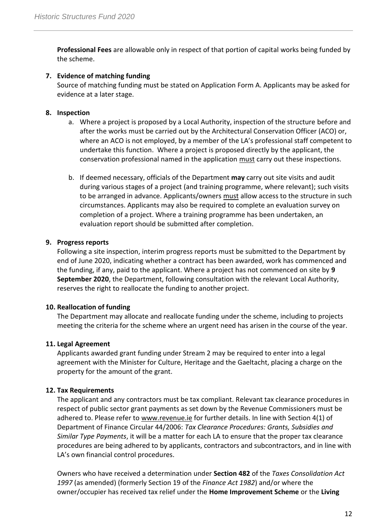**Professional Fees** are allowable only in respect of that portion of capital works being funded by the scheme.

### **7. Evidence of matching funding**

Source of matching funding must be stated on Application Form A. Applicants may be asked for evidence at a later stage.

### **8. Inspection**

- a. Where a project is proposed by a Local Authority, inspection of the structure before and after the works must be carried out by the Architectural Conservation Officer (ACO) or, where an ACO is not employed, by a member of the LA's professional staff competent to undertake this function. Where a project is proposed directly by the applicant, the conservation professional named in the application must carry out these inspections.
- b. If deemed necessary, officials of the Department **may** carry out site visits and audit during various stages of a project (and training programme, where relevant); such visits to be arranged in advance. Applicants/owners must allow access to the structure in such circumstances. Applicants may also be required to complete an evaluation survey on completion of a project. Where a training programme has been undertaken, an evaluation report should be submitted after completion.

#### **9. Progress reports**

Following a site inspection, interim progress reports must be submitted to the Department by end of June 2020, indicating whether a contract has been awarded, work has commenced and the funding, if any, paid to the applicant. Where a project has not commenced on site by **9 September 2020**, the Department, following consultation with the relevant Local Authority, reserves the right to reallocate the funding to another project.

#### **10. Reallocation of funding**

The Department may allocate and reallocate funding under the scheme, including to projects meeting the criteria for the scheme where an urgent need has arisen in the course of the year.

#### **11. Legal Agreement**

Applicants awarded grant funding under Stream 2 may be required to enter into a legal agreement with the Minister for Culture, Heritage and the Gaeltacht, placing a charge on the property for the amount of the grant.

## **12. Tax Requirements**

The applicant and any contractors must be tax compliant. Relevant tax clearance procedures in respect of public sector grant payments as set down by the Revenue Commissioners must be adhered to. Please refer to [www.revenue.ie](http://www.revenue.ie/) for further details. In line with Section 4(1) of Department of Finance Circular 44/2006: *Tax Clearance Procedures: Grants, Subsidies and Similar Type Payments*, it will be a matter for each LA to ensure that the proper tax clearance procedures are being adhered to by applicants, contractors and subcontractors, and in line with LA's own financial control procedures.

Owners who have received a determination under **Section 482** of the *Taxes Consolidation Act 1997* (as amended) (formerly Section 19 of the *Finance Act 1982*) and/or where the owner/occupier has received tax relief under the **Home Improvement Scheme** or the **Living**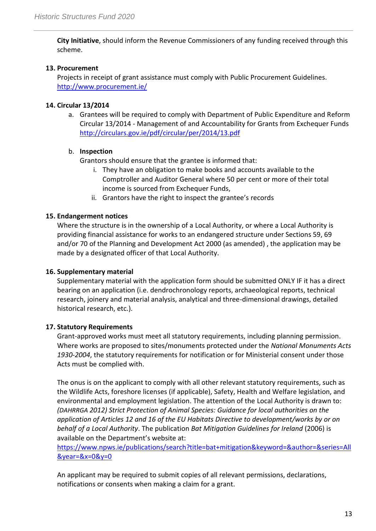**City Initiative**, should inform the Revenue Commissioners of any funding received through this scheme.

## **13. Procurement**

Projects in receipt of grant assistance must comply with Public Procurement Guidelines. <http://www.procurement.ie/>

# **14. Circular 13/2014**

a. Grantees will be required to comply with Department of Public Expenditure and Reform Circular 13/2014 - Management of and Accountability for Grants from Exchequer Funds <http://circulars.gov.ie/pdf/circular/per/2014/13.pdf>

## b. **Inspection**

Grantors should ensure that the grantee is informed that:

- i. They have an obligation to make books and accounts available to the Comptroller and Auditor General where 50 per cent or more of their total income is sourced from Exchequer Funds,
- ii. Grantors have the right to inspect the grantee's records

# **15. Endangerment notices**

Where the structure is in the ownership of a Local Authority, or where a Local Authority is providing financial assistance for works to an endangered structure under Sections 59, 69 and/or 70 of the Planning and Development Act 2000 (as amended) , the application may be made by a designated officer of that Local Authority.

# **16. Supplementary material**

Supplementary material with the application form should be submitted ONLY IF it has a direct bearing on an application (i.e. dendrochronology reports, archaeological reports, technical research, joinery and material analysis, analytical and three-dimensional drawings, detailed historical research, etc.).

# **17. Statutory Requirements**

Grant-approved works must meet all statutory requirements, including planning permission. Where works are proposed to sites/monuments protected under the *National Monuments Acts 1930-2004*, the statutory requirements for notification or for Ministerial consent under those Acts must be complied with.

The onus is on the applicant to comply with all other relevant statutory requirements, such as the Wildlife Acts, foreshore licenses (if applicable), Safety, Health and Welfare legislation, and environmental and employment legislation. The attention of the Local Authority is drawn to: *(DAHRRGA 2012) Strict Protection of Animal Species: Guidance for local authorities on the application of Articles 12 and 16 of the EU Habitats Directive to development/works by or on behalf of a Local Authority*. The publication *Bat Mitigation Guidelines for Ireland* (2006) is available on the Department's website at:

[https://www.npws.ie/publications/search?title=bat+mitigation&keyword=&author=&series=All](https://www.npws.ie/publications/search?title=bat+mitigation&keyword=&author=&series=All&year=&x=0&y=0) [&year=&x=0&y=0](https://www.npws.ie/publications/search?title=bat+mitigation&keyword=&author=&series=All&year=&x=0&y=0)

An applicant may be required to submit copies of all relevant permissions, declarations, notifications or consents when making a claim for a grant.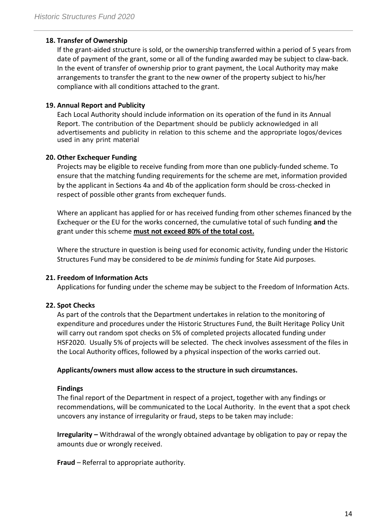#### **18. Transfer of Ownership**

If the grant-aided structure is sold, or the ownership transferred within a period of 5 years from date of payment of the grant, some or all of the funding awarded may be subject to claw-back. In the event of transfer of ownership prior to grant payment, the Local Authority may make arrangements to transfer the grant to the new owner of the property subject to his/her compliance with all conditions attached to the grant.

#### **19. Annual Report and Publicity**

Each Local Authority should include information on its operation of the fund in its Annual Report. The contribution of the Department should be publicly acknowledged in all advertisements and publicity in relation to this scheme and the appropriate logos/devices used in any print material

#### **20. Other Exchequer Funding**

Projects may be eligible to receive funding from more than one publicly-funded scheme. To ensure that the matching funding requirements for the scheme are met, information provided by the applicant in Sections 4a and 4b of the application form should be cross-checked in respect of possible other grants from exchequer funds.

Where an applicant has applied for or has received funding from other schemes financed by the Exchequer or the EU for the works concerned, the cumulative total of such funding **and** the grant under this scheme **must not exceed 80% of the total cost.**

Where the structure in question is being used for economic activity, funding under the Historic Structures Fund may be considered to be *de minimis* funding for State Aid purposes.

#### **21. Freedom of Information Acts**

Applications for funding under the scheme may be subject to the Freedom of Information Acts.

#### **22. Spot Checks**

As part of the controls that the Department undertakes in relation to the monitoring of expenditure and procedures under the Historic Structures Fund, the Built Heritage Policy Unit will carry out random spot checks on 5% of completed projects allocated funding under HSF2020. Usually 5% of projects will be selected. The check involves assessment of the files in the Local Authority offices, followed by a physical inspection of the works carried out.

#### **Applicants/owners must allow access to the structure in such circumstances.**

#### **Findings**

The final report of the Department in respect of a project, together with any findings or recommendations, will be communicated to the Local Authority. In the event that a spot check uncovers any instance of irregularity or fraud, steps to be taken may include:

**Irregularity –** Withdrawal of the wrongly obtained advantage by obligation to pay or repay the amounts due or wrongly received.

**Fraud** – Referral to appropriate authority.